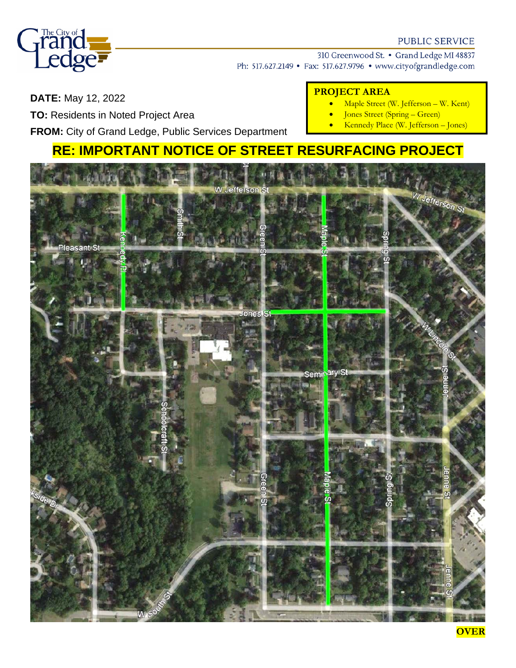

## **PUBLIC SERVICE**

310 Greenwood St. • Grand Ledge MI 48837

• Maple Street (W. Jefferson – W. Kent) • Jones Street (Spring – Green)

• Kennedy Place (W. Jefferson – Jones)

Ph: 517.627.2149 • Fax: 517.627.9796 • www.cityofgrandledge.com

**PROJECT AREA**

# **DATE:** May 12, 2022

**TO:** Residents in Noted Project Area

**FROM:** City of Grand Ledge, Public Services Department

# **RE: IMPORTANT NOTICE OF STREET RESURFACING PROJECT**



**OVER**